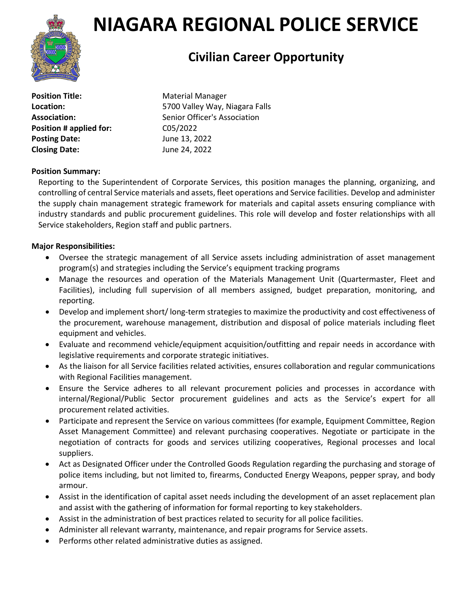

# **NIAGARA REGIONAL POLICE SERVICE**

## **Civilian Career Opportunity**

**Position Title:** Material Manager **Position # applied for:** C05/2022 **Posting Date:** June 13, 2022 **Closing Date:** June 24, 2022

**Location:** 5700 Valley Way, Niagara Falls Association: Senior Officer's Association

### **Position Summary:**

Reporting to the Superintendent of Corporate Services, this position manages the planning, organizing, and controlling of central Service materials and assets, fleet operations and Service facilities. Develop and administer the supply chain management strategic framework for materials and capital assets ensuring compliance with industry standards and public procurement guidelines. This role will develop and foster relationships with all Service stakeholders, Region staff and public partners.

#### **Major Responsibilities:**

- Oversee the strategic management of all Service assets including administration of asset management program(s) and strategies including the Service's equipment tracking programs
- Manage the resources and operation of the Materials Management Unit (Quartermaster, Fleet and Facilities), including full supervision of all members assigned, budget preparation, monitoring, and reporting.
- Develop and implement short/ long-term strategies to maximize the productivity and cost effectiveness of the procurement, warehouse management, distribution and disposal of police materials including fleet equipment and vehicles.
- Evaluate and recommend vehicle/equipment acquisition/outfitting and repair needs in accordance with legislative requirements and corporate strategic initiatives.
- As the liaison for all Service facilities related activities, ensures collaboration and regular communications with Regional Facilities management.
- Ensure the Service adheres to all relevant procurement policies and processes in accordance with internal/Regional/Public Sector procurement guidelines and acts as the Service's expert for all procurement related activities.
- Participate and represent the Service on various committees (for example, Equipment Committee, Region Asset Management Committee) and relevant purchasing cooperatives. Negotiate or participate in the negotiation of contracts for goods and services utilizing cooperatives, Regional processes and local suppliers.
- Act as Designated Officer under the Controlled Goods Regulation regarding the purchasing and storage of police items including, but not limited to, firearms, Conducted Energy Weapons, pepper spray, and body armour.
- Assist in the identification of capital asset needs including the development of an asset replacement plan and assist with the gathering of information for formal reporting to key stakeholders.
- Assist in the administration of best practices related to security for all police facilities.
- Administer all relevant warranty, maintenance, and repair programs for Service assets.
- Performs other related administrative duties as assigned.